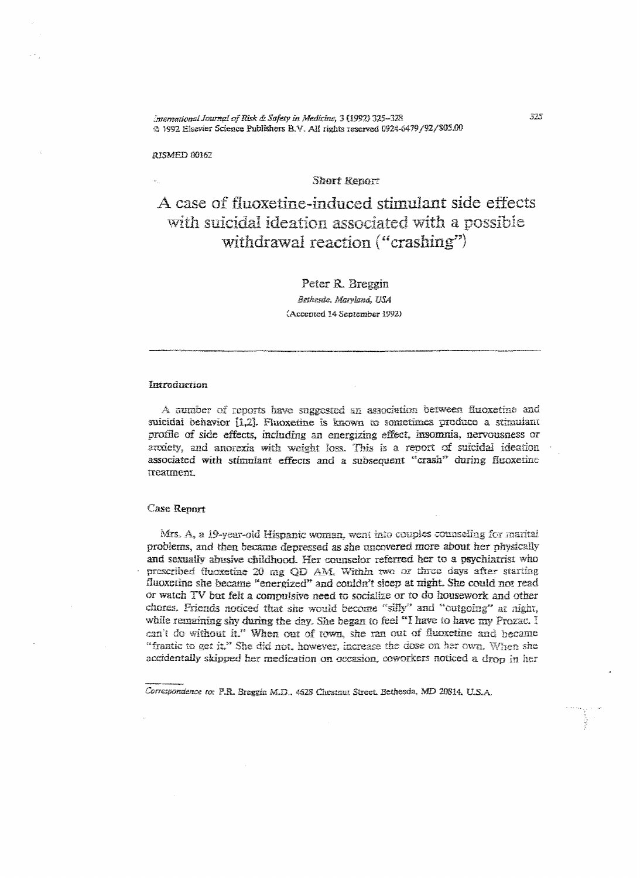International Journal of Risk & Safety in Medicine, 3 (1992) 325-328 ⊕ 1992 Elsevier Science Publishers B.V. All rights reserved 0924-6479/92/\$05.00

RISMED 00162

# **Short Renort**

A case of fluoxetine-induced stimulant side effects with suicidal ideation associated with a possible withdrawal reaction ("crashing")

Peter R. Breggin

Bethesda, Maryland, USA (Accepted 14 September 1992)

## Introduction

A number of reports have suggested an association between fluoxetine and suicidal behavior [1.2]. Fluoxetine is known to sometimes produce a stimulant profile of side effects, including an energizing effect, insomnia, nervousness or anxiety, and anorexia with weight loss. This is a report of suicidal ideation associated with stimulant effects and a subsequent "crash" during fluoxetine treatment.

# **Case Report**

Mrs. A, a 19-year-old Hispanic woman, went into couples counseling for marital problems, and then became depressed as she uncovered more about her physically and sexually abusive childhood. Her counselor referred her to a psychiatrist who prescribed fluoxetine 20 mg OD AM, Within two or three days after starting fluoxerine she became "energized" and couldn't sleep at night. She could not read or watch TV but felt a compulsive need to socialize or to do housework and other chores. Friends noticed that she would become "silly" and "outgoing" at night, while remaining shy during the day. She began to feel "I have to have my Prozac. I can't do without it." When out of town, she ran out of fluoxetine and became "frantic to get it," She did not, however, increase the dose on her own. When she accidentally skipped her medication on occasion, coworkers noticed a drop in her

Correspondence to: P.R. Breggin M.D., 4628 Chestnut Street. Bethesda, MD 20814, U.S.A.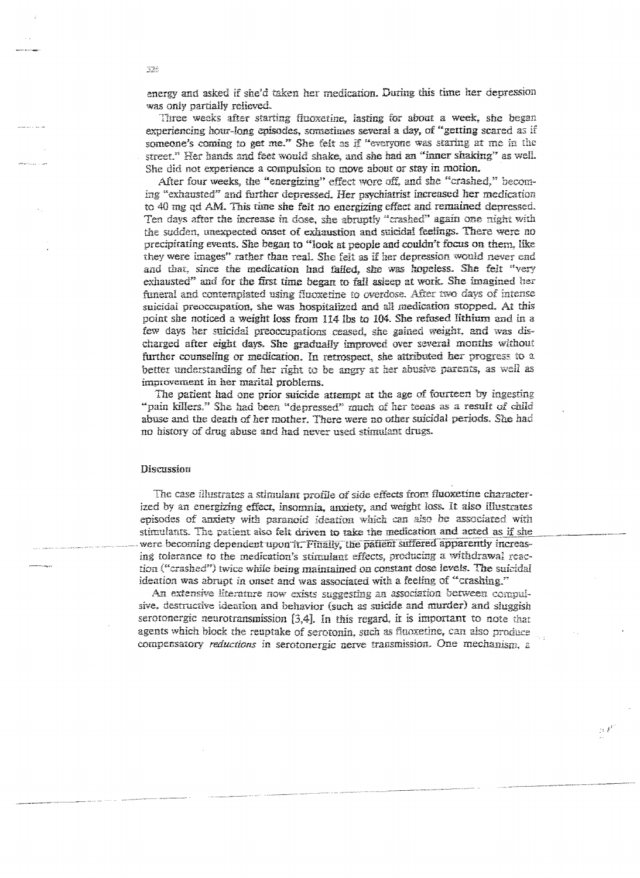energy and asked if she'd taken her medication. During this time her depression was only partially relieved.

Three weeks after starting fluoxetine, lasting for about a week, she began experiencing hour-long episodes, sometimes several a day, of "getting scared as if someone's coming to get me." She felt as if "everyone was staring at me in the street." Her hands and feet would shake, and she had an "inner shaking" as well. She did not experience a compulsion to move about or stay in motion.

After four weeks, the "energizing" effect wore off, and she "crashed," becoming "exhausted" and further depressed. Her psychiatrist increased her medication to 40 mg qd AM. This time she feit no energizing effect and remained depressed. Ten days after the increase in dose, she abruptly "crashed" again one night with the sudden, unexpected onset of exhaustion and suicidal feelings. There were no precipitating events. She began to "look at people and couldn't focus on them, like they were images" rather than real. She felt as if her depression would never end and that, since the medication had failed, she was hopeless. She felt "very exhausted" and for the first time began to fall asleep at work. She imagined her funeral and contemplated using fluoxetine to overdose. After two days of intense suicidal preoccupation, she was hospitalized and all medication stopped. At this point she noticed a weight loss from 114 lbs to 104. She refused lithium and in a few days her suicidal preoccupations ceased, she gained weight, and was discharged after eight days. She gradually improved over several months without further counseling or medication. In retrospect, she attributed her progress to a better understanding of her right to be angry at her abusive parents, as well as improvement in her marital problems.

The patient had one prior suicide attempt at the age of fourteen by ingesting "pain killers." She had been "depressed" much of her teens as a result of child abuse and the death of her mother. There were no other suicidal periods. She had no history of drug abuse and had never used stimulant drugs.

#### **Discussion**

The case illustrates a stimulant profile of side effects from fluoxetine characterized by an energizing effect, insomnia, anxiety, and weight loss. It also illustrates episodes of anxiety with paranoid ideation which can also be associated with stimulants. The patient also felt driven to take the medication and acted as if she were becoming dependent upon it. Finally, the patient suffered apparently increasing tolerance to the medication's stimulant effects, producing a withdrawal reaction ("crashed") twice while being maintained on constant dose levels. The suicidal ideation was abrupt in onset and was associated with a feeling of "crashing."

An extensive literature now exists suggesting an association between compulsive, destructive idention and behavior (such as suicide and murder) and sluggish serotonergic neurotransmission  $[3,4]$ . In this regard, it is important to note that agents which block the reuptake of serotonin, such as fluoxetine, can also produce compensatory reductions in serotonergic nerve transmission. One mechanism, a

 $\mathbb{N}^{\mathbb{Z}^2}$